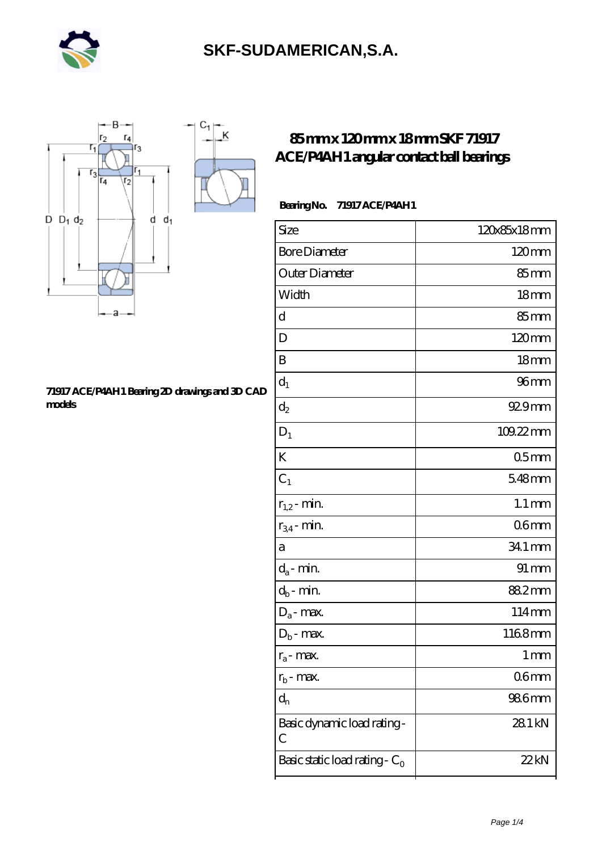



#### **[71917 ACE/P4AH1 Bearing 2D drawings and 3D CAD](https://iblcheck.com/pic-574038.html) [models](https://iblcheck.com/pic-574038.html)**

### **[85 mm x 120 mm x 18 mm SKF 71917](https://iblcheck.com/skf-71917-ace-p4ah1-bearing/) [ACE/P4AH1 angular contact ball bearings](https://iblcheck.com/skf-71917-ace-p4ah1-bearing/)**

### **Bearing No. 71917 ACE/P4AH1**

| Size                                       | 120x85x18mm         |
|--------------------------------------------|---------------------|
| <b>Bore Diameter</b>                       | 120mm               |
| Outer Diameter                             | 85mm                |
| Width                                      | 18 <sub>mm</sub>    |
| d                                          | $85 \text{mm}$      |
| D                                          | $120 \text{mm}$     |
| B                                          | 18 <sub>mm</sub>    |
| $\mathbf{d}_1$                             | 96 <sub>mm</sub>    |
| $\mathrm{d}_2$                             | $929$ mm            |
| $D_1$                                      | 109.22mm            |
| K                                          | 05 <sub>mm</sub>    |
| $C_1$                                      | 548mm               |
| $r_{1,2}$ - min.                           | $1.1 \,\mathrm{mm}$ |
| $r_{34}$ - min.                            | 06 <sub>mm</sub>    |
| a                                          | 34.1 mm             |
| $d_a$ - min.                               | $91 \,\mathrm{mm}$  |
| $d_b$ - min.                               | 882mm               |
| $D_a$ - max.                               | 114mm               |
| $D_b$ - max.                               | 1168mm              |
| $r_a$ - max.                               | 1 <sub>mm</sub>     |
| $r_{b}$ - max.                             | 06 <sub>mm</sub>    |
| $d_{n}$                                    | 986 <sub>mm</sub>   |
| Basic dynamic load rating-<br>$\mathcal C$ | 28.1 kN             |
| Basic static load rating - $C_0$           | 22 kN               |
|                                            |                     |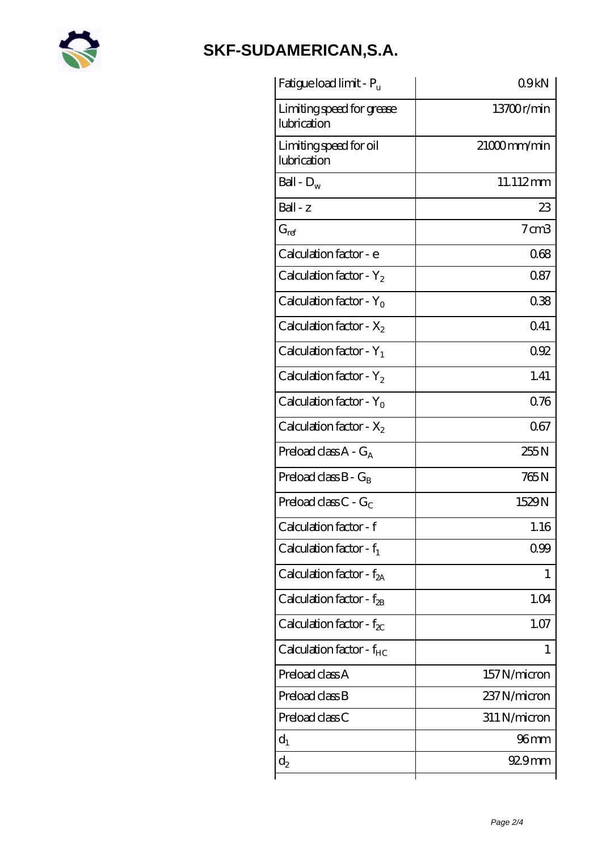

| Fatigue load limit - P <sub>u</sub>      | 09kN             |
|------------------------------------------|------------------|
| Limiting speed for grease<br>lubrication | 13700r/min       |
| Limiting speed for oil<br>lubrication    | $21000$ mm/min   |
| Ball - $D_w$                             | 11.112mm         |
| Ball - z                                 | 23               |
| $G_{ref}$                                | $7 \text{ cm}$ 3 |
| Calculation factor - e                   | 068              |
| Calculation factor - $Y_2$               | 0.87             |
| Calculation factor - $Y_0$               | 038              |
| Calculation factor - $X_2$               | 041              |
| Calculation factor - $Y_1$               | 092              |
| Calculation factor - $Y_2$               | 1.41             |
| Calculation factor - $Y_0$               | 0.76             |
| Calculation factor - $X_2$               | 067              |
| Preload class $A - G_A$                  | 255N             |
| Preload class $B - G_B$                  | 765N             |
| Preload class C - $G_C$                  | 1529N            |
| Calculation factor - f                   | 1.16             |
| Calculation factor - $f_1$               | 0.99             |
| Calculation factor - $f_{2A}$            | 1                |
| Calculation factor - $f_{2B}$            | 1.04             |
| Calculation factor - $f_{\chi}$          | 1.07             |
| Calculation factor - $f_{HC}$            | 1                |
| Preload class A                          | 157N/micron      |
| Preload class B                          | 237N/micron      |
| Preload class C                          | 311 N/micron     |
| $d_1$                                    | 96 mm            |
| $\mathrm{d}_2$                           | $929$ mm         |
|                                          |                  |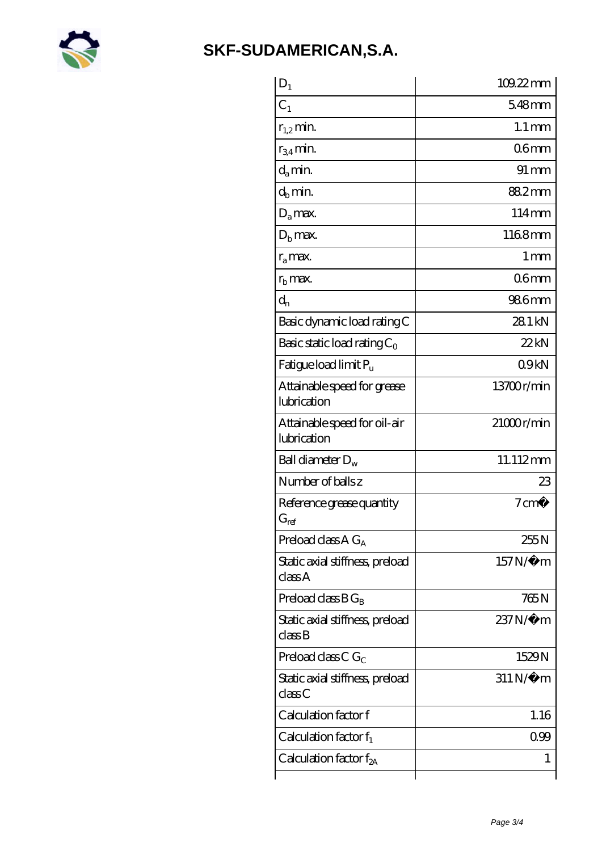

| $D_1$                                                         | 109.22mm               |
|---------------------------------------------------------------|------------------------|
| C <sub>1</sub>                                                | $548$ mm               |
| $r_{1,2}$ min.                                                | $1.1 \,\mathrm{mm}$    |
| $r_{34}$ min.                                                 | 06 <sub>mm</sub>       |
| $d_{a}$ min.                                                  | $91 \,\mathrm{mm}$     |
| $d_h$ min.                                                    | 882mm                  |
| $D_a$ max.                                                    | $114 \text{mm}$        |
| $D_{\rm b}$ max.                                              | 1168mm                 |
| $r_a$ max.                                                    | $1 \,\mathrm{mm}$      |
| $r_{\rm b}$ max.                                              | 06 <sub>mm</sub>       |
| $d_{n}$                                                       | 986 <sub>mm</sub>      |
| Basic dynamic load rating C                                   | 281 kN                 |
| Basic static load rating $C_0$                                | 22kN                   |
| Fatigue load limit $P_u$                                      | 09kN                   |
| Attainable speed for grease<br>lubrication                    | 13700r/min             |
| Attainable speed for oil-air<br>lubrication                   | $21000$ r/min          |
| Ball diameter $D_w$                                           | 11.112mm               |
| Number of balls z                                             | 23                     |
| Reference grease quantity<br>$G_{ref}$                        | $7 \text{cm}^3$        |
| Preload class $A G_A$                                         | 255N                   |
| Static axial stiffness, preload<br>class A                    | 157N/µ m               |
| Preload class $BG_B$                                          | 765 N                  |
| Static axial stiffness, preload<br>$\mathrm{class}\mathrm{B}$ | $237N/\mu$ m           |
| Preload class C $G_C$                                         | 1529N                  |
| Static axial stiffness, preload<br>classC                     | $311\,\mathrm{N}\mu$ m |
| Calculation factor f                                          | 1.16                   |
| Calculation factor $f_1$                                      | 099                    |
| Calculation factor $f_{2A}$                                   | 1                      |
|                                                               |                        |